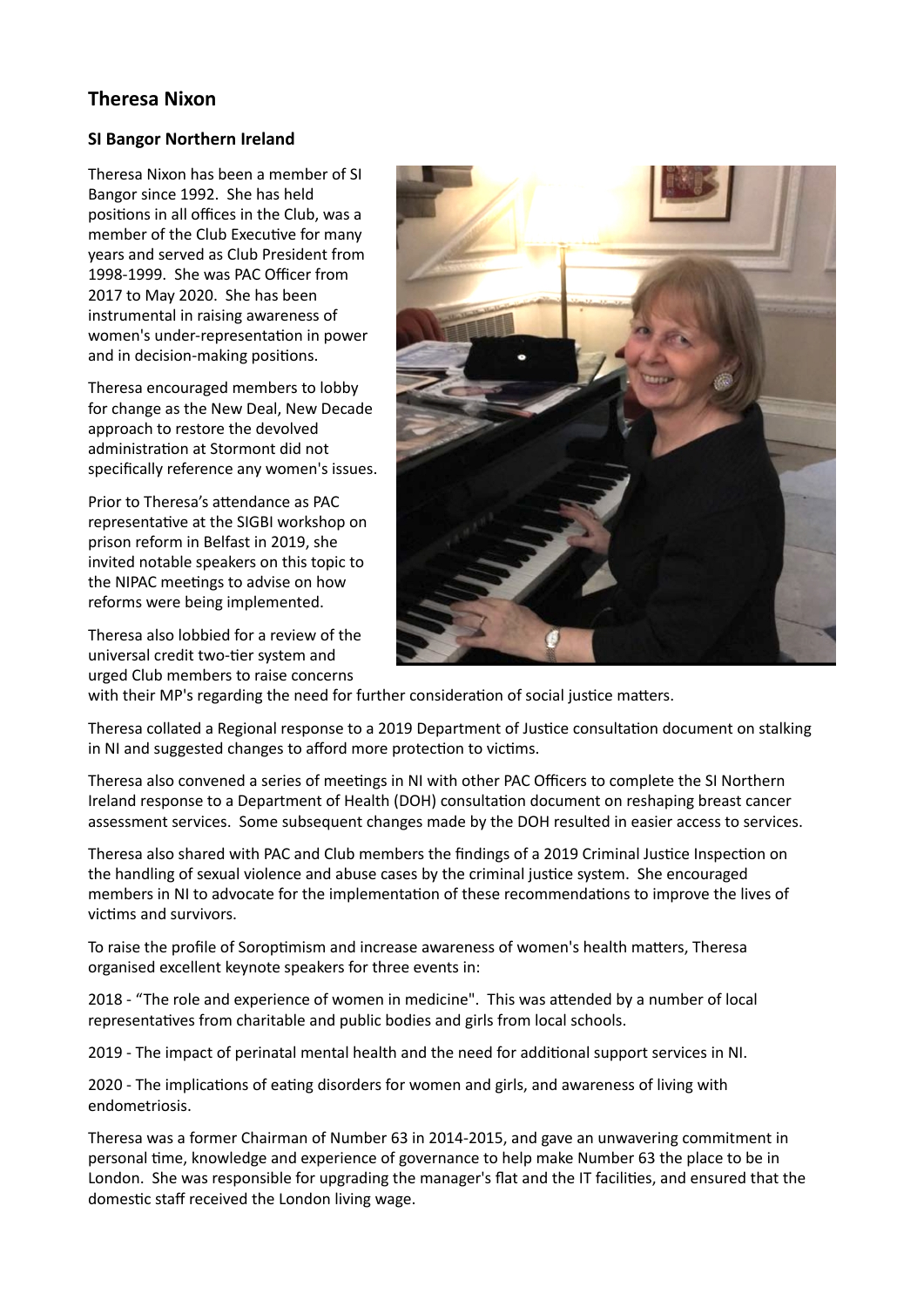## **Theresa Nixon**

## **SI Bangor Northern Ireland**

Theresa Nixon has been a member of SI Bangor since 1992. She has held positions in all offices in the Club, was a member of the Club Executive for many years and served as Club President from 1998-1999. She was PAC Officer from 2017 to May 2020. She has been instrumental in raising awareness of women's under-representation in power and in decision-making positions.

Theresa encouraged members to lobby for change as the New Deal, New Decade approach to restore the devolved administration at Stormont did not specifically reference any women's issues.

Prior to Theresa's attendance as PAC representative at the SIGBI workshop on prison reform in Belfast in 2019, she invited notable speakers on this topic to the NIPAC meetings to advise on how reforms were being implemented.

Theresa also lobbied for a review of the universal credit two-tier system and urged Club members to raise concerns



with their MP's regarding the need for further consideration of social justice matters.

Theresa collated a Regional response to a 2019 Department of Justice consultation document on stalking in NI and suggested changes to afford more protection to victims.

Theresa also convened a series of meetings in NI with other PAC Officers to complete the SI Northern Ireland response to a Department of Health (DOH) consultation document on reshaping breast cancer assessment services. Some subsequent changes made by the DOH resulted in easier access to services.

Theresa also shared with PAC and Club members the findings of a 2019 Criminal Justice Inspection on the handling of sexual violence and abuse cases by the criminal justice system. She encouraged members in NI to advocate for the implementation of these recommendations to improve the lives of victims and survivors.

To raise the profile of Soroptimism and increase awareness of women's health matters, Theresa organised excellent keynote speakers for three events in:

2018 - "The role and experience of women in medicine". This was attended by a number of local representatives from charitable and public bodies and girls from local schools.

2019 - The impact of perinatal mental health and the need for additional support services in NI.

2020 - The implications of eating disorders for women and girls, and awareness of living with endometriosis.

Theresa was a former Chairman of Number 63 in 2014-2015, and gave an unwavering commitment in personal time, knowledge and experience of governance to help make Number 63 the place to be in London. She was responsible for upgrading the manager's flat and the IT facilities, and ensured that the domestic staff received the London living wage.